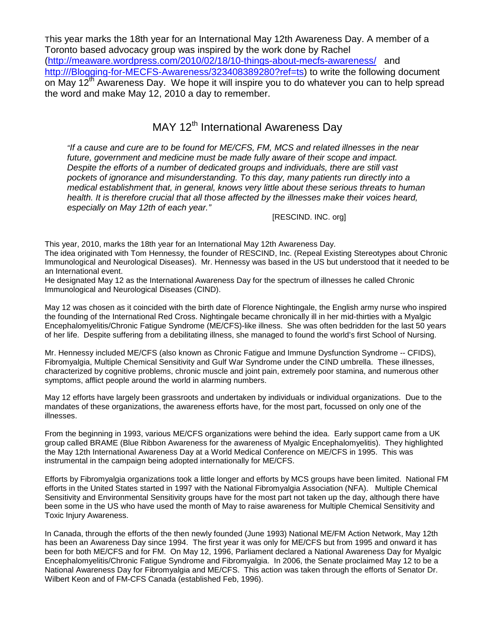This year marks the 18th year for an International May 12th Awareness Day. A member of a Toronto based advocacy group was inspired by the work done by Rachel (<http://meaware.wordpress.com/2010/02/18/10-things-about-mecfs-awareness/> and [http:///Blogging-for-MECFS-Awareness/323408389280?ref=ts\)](http:///Blogging-for-MECFS-Awareness/323408389280?ref=ts) to write the following document on May 12<sup>th</sup> Awareness Day. We hope it will inspire you to do whatever you can to help spread the word and make May 12, 2010 a day to remember.

# MAY 12<sup>th</sup> International Awareness Day

*"If a cause and cure are to be found for ME/CFS, FM, MCS and related illnesses in the near future, government and medicine must be made fully aware of their scope and impact. Despite the efforts of a number of dedicated groups and individuals, there are still vast pockets of ignorance and misunderstanding. To this day, many patients run directly into a medical establishment that, in general, knows very little about these serious threats to human health. It is therefore crucial that all those affected by the illnesses make their voices heard, especially on May 12th of each year."*

[RESCIND. INC. org]

This year, 2010, marks the 18th year for an International May 12th Awareness Day.

The idea originated with Tom Hennessy, the founder of RESCIND, Inc. (Repeal Existing Stereotypes about Chronic Immunological and Neurological Diseases). Mr. Hennessy was based in the US but understood that it needed to be an International event.

He designated May 12 as the International Awareness Day for the spectrum of illnesses he called Chronic Immunological and Neurological Diseases (CIND).

May 12 was chosen as it coincided with the birth date of Florence Nightingale, the English army nurse who inspired the founding of the International Red Cross. Nightingale became chronically ill in her mid-thirties with a Myalgic Encephalomyelitis/Chronic Fatigue Syndrome (ME/CFS)-like illness. She was often bedridden for the last 50 years of her life. Despite suffering from a debilitating illness, she managed to found the world's first School of Nursing.

Mr. Hennessy included ME/CFS (also known as Chronic Fatigue and Immune Dysfunction Syndrome -- CFIDS), Fibromyalgia, Multiple Chemical Sensitivity and Gulf War Syndrome under the CIND umbrella. These illnesses, characterized by cognitive problems, chronic muscle and joint pain, extremely poor stamina, and numerous other symptoms, afflict people around the world in alarming numbers.

May 12 efforts have largely been grassroots and undertaken by individuals or individual organizations. Due to the mandates of these organizations, the awareness efforts have, for the most part, focussed on only one of the illnesses.

From the beginning in 1993, various ME/CFS organizations were behind the idea. Early support came from a UK group called BRAME (Blue Ribbon Awareness for the awareness of Myalgic Encephalomyelitis). They highlighted the May 12th International Awareness Day at a World Medical Conference on ME/CFS in 1995. This was instrumental in the campaign being adopted internationally for ME/CFS.

Efforts by Fibromyalgia organizations took a little longer and efforts by MCS groups have been limited. National FM efforts in the United States started in 1997 with the National Fibromyalgia Association (NFA). Multiple Chemical Sensitivity and Environmental Sensitivity groups have for the most part not taken up the day, although there have been some in the US who have used the month of May to raise awareness for Multiple Chemical Sensitivity and Toxic Injury Awareness.

In Canada, through the efforts of the then newly founded (June 1993) National ME/FM Action Network, May 12th has been an Awareness Day since 1994. The first year it was only for ME/CFS but from 1995 and onward it has been for both ME/CFS and for FM. On May 12, 1996, Parliament declared a National Awareness Day for Myalgic Encephalomyelitis/Chronic Fatigue Syndrome and Fibromyalgia. In 2006, the Senate proclaimed May 12 to be a National Awareness Day for Fibromyalgia and ME/CFS. This action was taken through the efforts of Senator Dr. Wilbert Keon and of FM-CFS Canada (established Feb, 1996).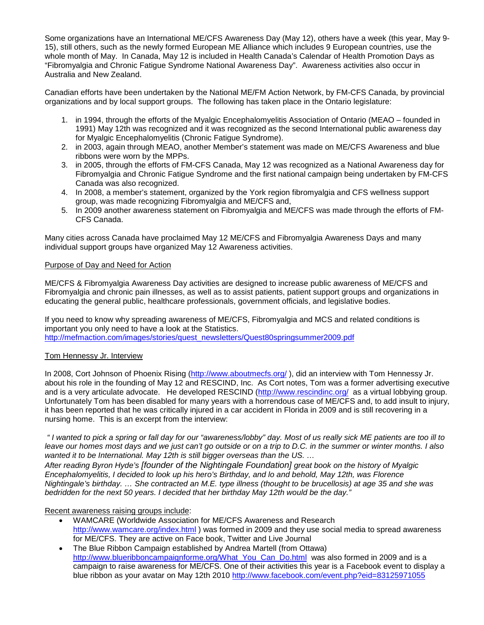Some organizations have an International ME/CFS Awareness Day (May 12), others have a week (this year, May 9- 15), still others, such as the newly formed European ME Alliance which includes 9 European countries, use the whole month of May. In Canada, May 12 is included in Health Canada's Calendar of Health Promotion Days as "Fibromyalgia and Chronic Fatigue Syndrome National Awareness Day". Awareness activities also occur in Australia and New Zealand.

Canadian efforts have been undertaken by the National ME/FM Action Network, by FM-CFS Canada, by provincial organizations and by local support groups. The following has taken place in the Ontario legislature:

- 1. in 1994, through the efforts of the Myalgic Encephalomyelitis Association of Ontario (MEAO founded in 1991) May 12th was recognized and it was recognized as the second International public awareness day for Myalgic Encephalomyelitis (Chronic Fatigue Syndrome).
- 2. in 2003, again through MEAO, another Member's statement was made on ME/CFS Awareness and blue ribbons were worn by the MPPs.
- 3. in 2005, through the efforts of FM-CFS Canada, May 12 was recognized as a National Awareness day for Fibromyalgia and Chronic Fatigue Syndrome and the first national campaign being undertaken by FM-CFS Canada was also recognized.
- 4. In 2008, a member's statement, organized by the York region fibromyalgia and CFS wellness support group, was made recognizing Fibromyalgia and ME/CFS and,
- 5. In 2009 another awareness statement on Fibromyalgia and ME/CFS was made through the efforts of FM-CFS Canada.

Many cities across Canada have proclaimed May 12 ME/CFS and Fibromyalgia Awareness Days and many individual support groups have organized May 12 Awareness activities.

## Purpose of Day and Need for Action

ME/CFS & Fibromyalgia Awareness Day activities are designed to increase public awareness of ME/CFS and Fibromyalgia and chronic pain illnesses, as well as to assist patients, patient support groups and organizations in educating the general public, healthcare professionals, government officials, and legislative bodies.

If you need to know why spreading awareness of ME/CFS, Fibromyalgia and MCS and related conditions is important you only need to have a look at the Statistics. [http://mefmaction.com/images/stories/quest\\_newsletters/Quest80springsummer2009.pdf](http://mefmaction.com/images/stories/quest_newsletters/Quest80springsummer2009.pdf)

### Tom Hennessy Jr. Interview

In 2008, Cort Johnson of Phoenix Rising(<http://www.aboutmecfs.org/> ), did an interview with Tom Hennessy Jr. about his role in the founding of May 12 and RESCIND, Inc. As Cort notes, Tom was a former advertising executive andis a very articulate advocate. He developed RESCIND (<http://www.rescindinc.org/> as a virtual lobbying group. Unfortunately Tom has been disabled for many years with a horrendous case of ME/CFS and, to add insult to injury, it has been reported that he was critically injured in a car accident in Florida in 2009 and is still recovering in a nursing home. This is an excerpt from the interview:

*" I wanted to pick a spring or fall day for our "awareness/lobby" day. Most of us really sick ME patients are too ill to leave our homes most days and we just can't go outside or on a trip to D.C. in the summer or winter months. I also wanted it to be International. May 12th is still bigger overseas than the US. …*

*After reading Byron Hyde's [founder of the Nightingale Foundation] great book on the history of Myalgic Encephalomyelitis, I decided to look up his hero's Birthday, and lo and behold, May 12th, was Florence Nightingale's birthday. … She contracted an M.E. type illness (thought to be brucellosis) at age 35 and she was bedridden for the next 50 years. I decided that her birthday May 12th would be the day."*

# Recent awareness raising groups include:

- WAMCARE (Worldwide Association for ME/CFS Awareness and Research <http://www.wamcare.org/index.html> ) was formed in 2009 and they use social media to spread awareness for ME/CFS. They are active on Face book, Twitter and Live Journal
- The Blue Ribbon Campaign established by Andrea Martell (from Ottawa) [http://www.blueribboncampaignforme.org/What\\_You\\_Can\\_Do.html](http://www.blueribboncampaignforme.org/What_You_Can_Do.html) was also formed in 2009 and is a campaign to raise awareness for ME/CFS. One of their activities this year is a Facebook event to display a blue ribbon as your avatar on May 12th 2010 <http://www.facebook.com/event.php?eid=83125971055>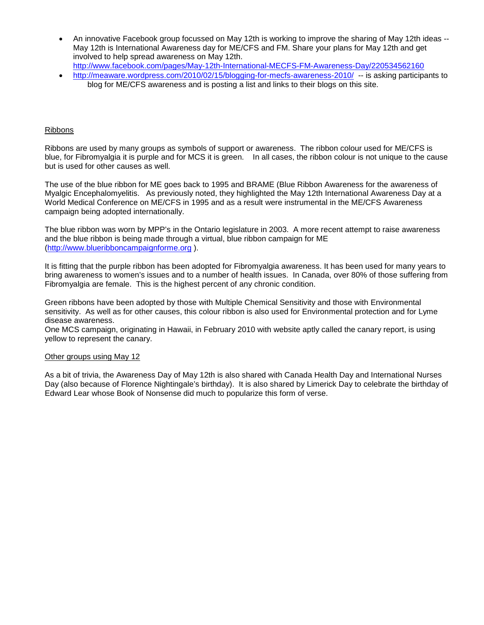- An innovative Facebook group focussed on May 12th is working to improve the sharing of May 12th ideas -- May 12th is International Awareness day for ME/CFS and FM. Share your plans for May 12th and get involved to help spread awareness on May 12th. <http://www.facebook.com/pages/May-12th-International-MECFS-FM-Awareness-Day/220534562160>
- <http://meaware.wordpress.com/2010/02/15/blogging-for-mecfs-awareness-2010/> -- is asking participants to blog for ME/CFS awareness and is posting a list and links to their blogs on this site.

#### Ribbons

Ribbons are used by many groups as symbols of support or awareness. The ribbon colour used for ME/CFS is blue, for Fibromyalgia it is purple and for MCS it is green. In all cases, the ribbon colour is not unique to the cause but is used for other causes as well.

The use of the blue ribbon for ME goes back to 1995 and BRAME (Blue Ribbon Awareness for the awareness of Myalgic Encephalomyelitis. As previously noted, they highlighted the May 12th International Awareness Day at a World Medical Conference on ME/CFS in 1995 and as a result were instrumental in the ME/CFS Awareness campaign being adopted internationally.

The blue ribbon was worn by MPP's in the Ontario legislature in 2003. A more recent attempt to raise awareness and the blue ribbon is being made through a virtual, blue ribbon campaign for ME ([http://www.blueribboncampaignforme.org](http://www.blueribboncampaignforme.org/) ).

It is fitting that the purple ribbon has been adopted for Fibromyalgia awareness. It has been used for many years to bring awareness to women's issues and to a number of health issues. In Canada, over 80% of those suffering from Fibromyalgia are female. This is the highest percent of any chronic condition.

Green ribbons have been adopted by those with Multiple Chemical Sensitivity and those with Environmental sensitivity. As well as for other causes, this colour ribbon is also used for Environmental protection and for Lyme disease awareness.

One MCS campaign, originating in Hawaii, in February 2010 with website aptly called the canary report, is using yellow to represent the canary.

#### Other groups using May 12

As a bit of trivia, the Awareness Day of May 12th is also shared with Canada Health Day and International Nurses Day (also because of Florence Nightingale's birthday). It is also shared by Limerick Day to celebrate the birthday of Edward Lear whose Book of Nonsense did much to popularize this form of verse.